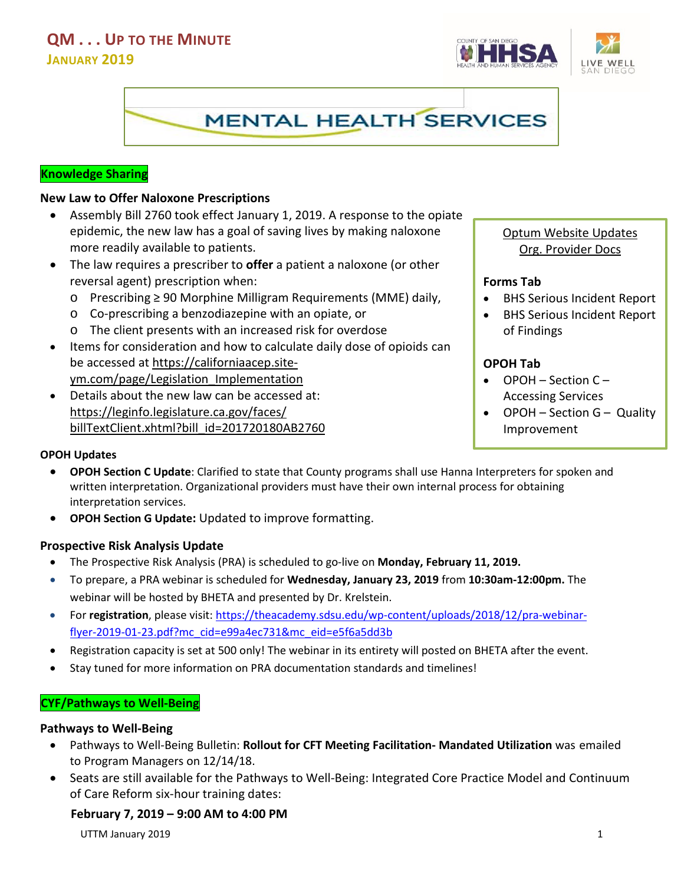## **QM . . . UP TO THE MINUTE JANUARY 2019**





#### **Knowledge Sharing**

#### **New Law to Offer Naloxone Prescriptions**

- Assembly Bill 2760 took effect January 1, 2019. A response to the opiate epidemic, the new law has a goal of saving lives by making naloxone more readily available to patients.
- The law requires a prescriber to **offer** a patient a naloxone (or other reversal agent) prescription when:
	- o Prescribing ≥ 90 Morphine Milligram Requirements (MME) daily,
	- o Co-prescribing a benzodiazepine with an opiate, or
	- o The client presents with an increased risk for overdose
- Items for consideration and how to calculate daily dose of opioids can be accessed at [https://californiaacep.site](https://californiaacep.site-ym.com/page/Legislation_Implementation)[ym.com/page/Legislation\\_Implementation](https://californiaacep.site-ym.com/page/Legislation_Implementation)
- Details about the new law can be accessed at: https://leginfo.legislature.ca.gov/faces/ billTextClient.xhtml?bill\_id=201720180AB2760

#### **OPOH Updates**

- **OPOH Section C Update**: Clarified to state that County programs shall use Hanna Interpreters for spoken and written interpretation. Organizational providers must have their own internal process for obtaining interpretation services.
- **OPOH Section G Update:** Updated to improve formatting.

#### **Prospective Risk Analysis Update**

- The Prospective Risk Analysis (PRA) is scheduled to go-live on **Monday, February 11, 2019.**
- To prepare, a PRA webinar is scheduled for **Wednesday, January 23, 2019** from **10:30am-12:00pm.** The webinar will be hosted by BHETA and presented by Dr. Krelstein.
- For **registration**, please visit: [https://theacademy.sdsu.edu/wp-content/uploads/2018/12/pra-webinar](https://theacademy.sdsu.edu/wp-content/uploads/2018/12/pra-webinar-flyer-2019-01-23.pdf?mc_cid=e99a4ec731&mc_eid=e5f6a5dd3b)[flyer-2019-01-23.pdf?mc\\_cid=e99a4ec731&mc\\_eid=e5f6a5dd3b](https://theacademy.sdsu.edu/wp-content/uploads/2018/12/pra-webinar-flyer-2019-01-23.pdf?mc_cid=e99a4ec731&mc_eid=e5f6a5dd3b)
- Registration capacity is set at 500 only! The webinar in its entirety will posted on BHETA after the event.
- Stay tuned for more information on PRA documentation standards and timelines!

## **CYF/Pathways to Well-Being**

#### **Pathways to Well-Being**

- Pathways to Well-Being Bulletin: **Rollout for CFT Meeting Facilitation- Mandated Utilization** was emailed to Program Managers on 12/14/18.
- Seats are still available for the Pathways to Well-Being: Integrated Core Practice Model and Continuum of Care Reform six-hour training dates:

#### **February 7, 2019 – 9:00 AM to 4:00 PM**

UTTM January 2019 1

## Optum Website Updates Org. Provider Docs

#### **Forms Tab**

- BHS Serious Incident Report
- BHS Serious Incident Report of Findings

## **OPOH Tab**

- OPOH Section C Accessing Services
- OPOH Section G Quality Improvement